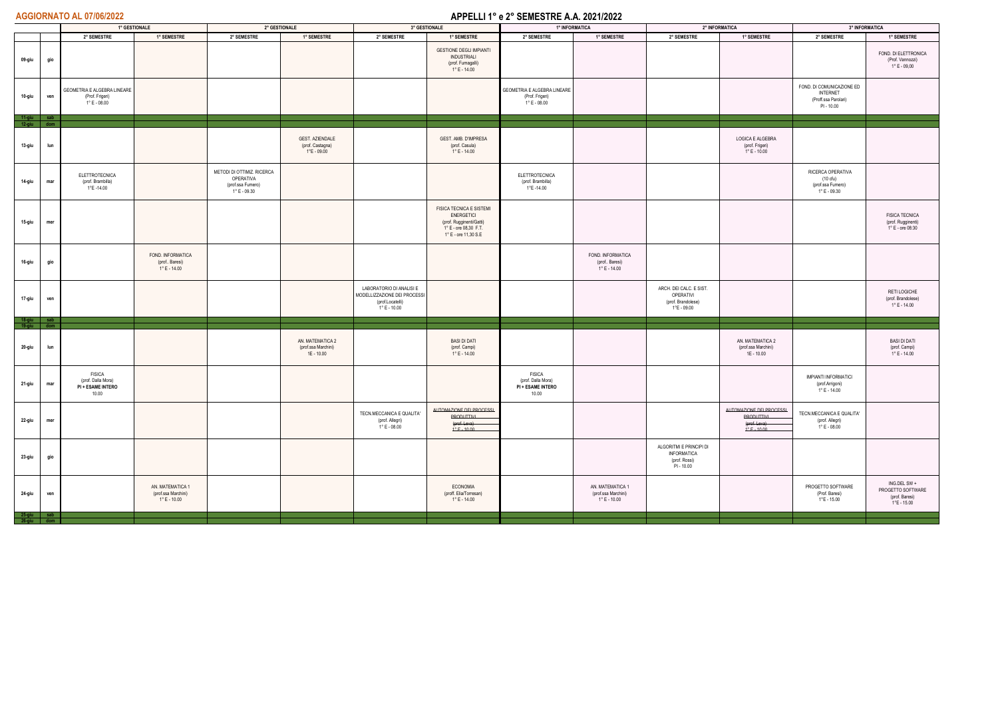|                          |     | 1° GESTIONALE                                                            |                                                                  | 2° GESTIONALE                                                                |                                                             | 3° GESTIONALE                                                                                |                                                                                                                            | 1° INFORMATICA                                                           |                                                         | 2° INFORMATICA                                                                   |                                                                                         | 3° INFORMATICA                                                                         |                                                                    |
|--------------------------|-----|--------------------------------------------------------------------------|------------------------------------------------------------------|------------------------------------------------------------------------------|-------------------------------------------------------------|----------------------------------------------------------------------------------------------|----------------------------------------------------------------------------------------------------------------------------|--------------------------------------------------------------------------|---------------------------------------------------------|----------------------------------------------------------------------------------|-----------------------------------------------------------------------------------------|----------------------------------------------------------------------------------------|--------------------------------------------------------------------|
|                          |     | 2° SEMESTRE                                                              | 1° SEMESTRE                                                      | 2° SEMESTRE                                                                  | 1° SEMESTRE                                                 | 2° SEMESTRE                                                                                  | 1° SEMESTRE                                                                                                                | 2° SEMESTRE                                                              | 1° SEMESTRE                                             | 2° SEMESTRE                                                                      | 1° SEMESTRE                                                                             | 2° SEMESTRE                                                                            | 1° SEMESTRE                                                        |
| 09-giu                   | gio |                                                                          |                                                                  |                                                                              |                                                             |                                                                                              | <b>GESTIONE DEGLI IMPIANTI</b><br>INDUSTRIALI<br>(prof. Fumagalli)<br>$1^{\circ}$ E - 14.00                                |                                                                          |                                                         |                                                                                  |                                                                                         |                                                                                        | FOND. DI ELETTRONICA<br>(Prof. Vannozzi)<br>$1^{\circ}$ E - 09,00  |
| 10-giu                   | ven | GEOMETRIA E ALGEBRA LINEARE<br>(Prof. Frigeri)<br>$1^{\circ}$ E - 08.00  |                                                                  |                                                                              |                                                             |                                                                                              |                                                                                                                            | GEOMETRIA E ALGEBRA LINEARE<br>(Prof. Frigeri)<br>$1^{\circ}$ E - 08.00  |                                                         |                                                                                  |                                                                                         | FOND. DI COMUNICAZIONE ED<br><b>INTERNET</b><br>(Proff.ssa Parolari)<br>PI - 10.00     |                                                                    |
| 11-giu sab<br>12-giu dom |     |                                                                          |                                                                  |                                                                              |                                                             |                                                                                              |                                                                                                                            |                                                                          |                                                         |                                                                                  |                                                                                         |                                                                                        |                                                                    |
| 13-giu                   | lun |                                                                          |                                                                  |                                                                              | GEST. AZIENDALE<br>(prof. Castagna)<br>$1^{\circ}E - 09.00$ |                                                                                              | GEST. AMB. D'IMPRESA<br>(prof. Casula)<br>$1^{\circ}$ E - 14.00                                                            |                                                                          |                                                         |                                                                                  | LOGICA E ALGEBRA<br>(prof. Frigeri)<br>$1^{\circ}$ E - 10.00                            |                                                                                        |                                                                    |
| 14-giu                   | mar | ELETTROTECNICA<br>(prof. Brambilla)<br>1°E-14.00                         |                                                                  | METODI DI OTTIMIZ. RICERCA<br>OPERATIVA<br>(prof.ssa Fumero)<br>1° E - 09.30 |                                                             |                                                                                              |                                                                                                                            | ELETTROTECNICA<br>(prof. Brambilla)<br>1°E-14.00                         |                                                         |                                                                                  |                                                                                         | RICERCA OPERATIVA<br>$(10 \text{ cftu})$<br>(prof.ssa Fumero)<br>$1^{\circ}$ E - 09.30 |                                                                    |
| 15-giu                   | mer |                                                                          |                                                                  |                                                                              |                                                             |                                                                                              | FISICA TECNICA E SISTEMI<br><b>ENERGETICI</b><br>(prof. Rugginenti/Gatti)<br>1° E - ore 08,30 F.T.<br>1° E - ore 11,30 S.E |                                                                          |                                                         |                                                                                  |                                                                                         |                                                                                        | <b>FISICA TECNICA</b><br>(prof. Rugginenti)<br>1° E - ore 08:30    |
| 16-giu                   | gio |                                                                          | FOND. INFORMATICA<br>(prof Baresi)<br>$1^{\circ}$ E - 14.00      |                                                                              |                                                             |                                                                                              |                                                                                                                            |                                                                          | FOND. INFORMATICA<br>(prof Baresi)<br>1° E - 14.00      |                                                                                  |                                                                                         |                                                                                        |                                                                    |
| 17-giu                   | ven |                                                                          |                                                                  |                                                                              |                                                             | LABORATORIO DI ANALISI E<br>MODELLIZZAZIONE DEI PROCESSI<br>(prof.Locatelli)<br>1° E - 10.00 |                                                                                                                            |                                                                          |                                                         | ARCH. DEI CALC. E SIST.<br><b>OPERATIVI</b><br>(prof. Brandolese)<br>1°E - 09.00 |                                                                                         |                                                                                        | RETI LOGICHE<br>(prof. Brandolese)<br>$1^{\circ}$ E - 14.00        |
| 18-giu sab<br>19-giu dom |     |                                                                          |                                                                  |                                                                              |                                                             |                                                                                              |                                                                                                                            |                                                                          |                                                         |                                                                                  |                                                                                         |                                                                                        |                                                                    |
| 20-giu                   | lun |                                                                          |                                                                  |                                                                              | AN. MATEMATICA 2<br>(prof.ssa Marchini)<br>1E - 10.00       |                                                                                              | <b>BASI DI DATI</b><br>(prof. Campi)<br>$1^{\circ}$ E - 14.00                                                              |                                                                          |                                                         |                                                                                  | AN. MATEMATICA 2<br>(prof.ssa Marchini)<br>1E - 10.00                                   |                                                                                        | <b>BASI DI DATI</b><br>(prof. Campi)<br>$1^{\circ}$ E - 14.00      |
| 21-giu                   | mar | <b>FISICA</b><br>(prof. Dalla Mora)<br><b>PI + ESAME INTERO</b><br>10.00 |                                                                  |                                                                              |                                                             |                                                                                              |                                                                                                                            | <b>FISICA</b><br>(prof. Dalla Mora)<br><b>PI + ESAME INTERO</b><br>10.00 |                                                         |                                                                                  |                                                                                         | <b>IMPIANTI INFORMATICI</b><br>(prof.Arrigoni)<br>1° E - 14.00                         |                                                                    |
| 22-giu                   | mer |                                                                          |                                                                  |                                                                              |                                                             | TECN.MECCANICA E QUALITA'<br>(prof. Allegri)<br>$1^{\circ}$ E - 08.00                        | AUTOMAZIONE DEI PROCESSI-<br><b>PRODUTTIVI</b><br>(prof. Leva)<br>$1^{\circ}$ E - 10.00                                    |                                                                          |                                                         |                                                                                  | AUTOMAZIONE DEI PROCESSI-<br><b>PRODUTTIVI</b><br>(prof. Leva)<br>$1^{\circ}$ E - 10.00 | TECN.MECCANICA E QUALITA'<br>(prof. Allegri)<br>$1^{\circ}$ E - 08.00                  |                                                                    |
| 23-giu                   | gio |                                                                          |                                                                  |                                                                              |                                                             |                                                                                              |                                                                                                                            |                                                                          |                                                         | ALGORITMI E PRINCIPI DI<br><b>INFORMATICA</b><br>(prof. Rossi)<br>PI - 10.00     |                                                                                         |                                                                                        |                                                                    |
| 24-giu                   | ven |                                                                          | AN. MATEMATICA 1<br>(prof.ssa Marchini)<br>$1^{\circ}$ E - 10.00 |                                                                              |                                                             |                                                                                              | <b>ECONOMIA</b><br>(proff. Elia/Torresan)<br>1° E - 14.00                                                                  |                                                                          | AN. MATEMATICA 1<br>(prof.ssa Marchini)<br>1° E - 10.00 |                                                                                  |                                                                                         | PROGETTO SOFTWARE<br>(Prof. Baresi)<br>1°E - 15.00                                     | ING.DEL SW +<br>PROGETTO SOFTWARE<br>(prof. Baresi)<br>1°E - 15.00 |
| 25-giu sab               |     |                                                                          |                                                                  |                                                                              |                                                             |                                                                                              |                                                                                                                            |                                                                          |                                                         |                                                                                  |                                                                                         |                                                                                        |                                                                    |
| 26-giu dom <b>1</b>      |     |                                                                          |                                                                  |                                                                              |                                                             |                                                                                              |                                                                                                                            |                                                                          |                                                         |                                                                                  |                                                                                         |                                                                                        |                                                                    |

## **APPELLI 1° e 2° SEMESTRE A.A. 2021/2022**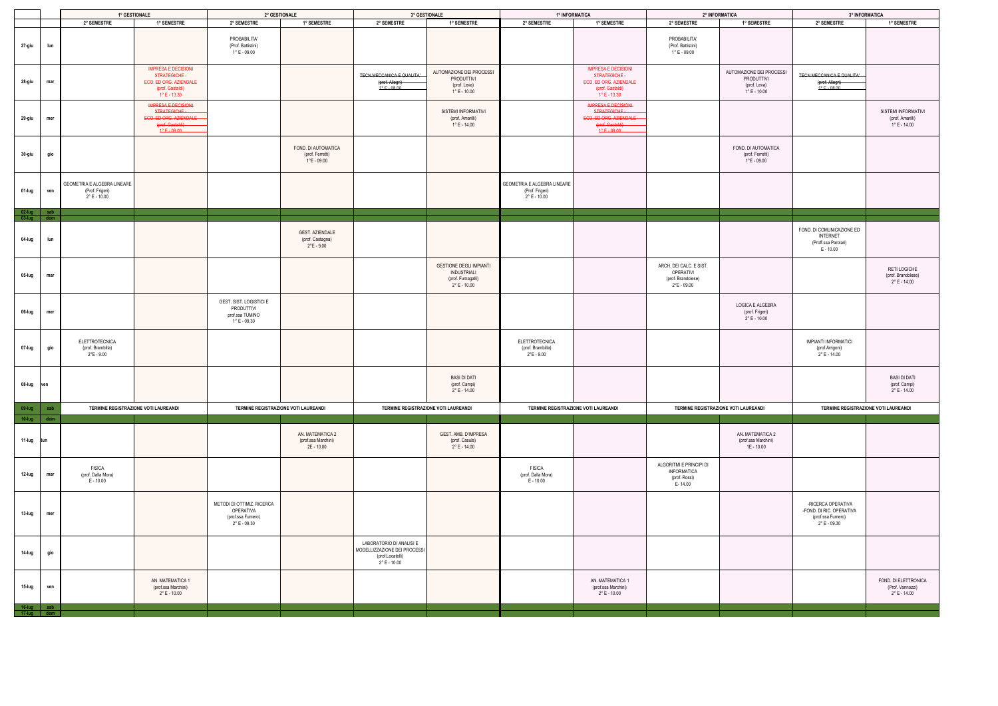|                                         |             | 1° GESTIONALE                                                  |                                                                                                                           | 2° GESTIONALE                                                                |                                                                   | 3° GESTIONALE                                                                                |                                                                                                    | 1° INFORMATICA                                                          |                                                                                                                           | 2° INFORMATICA                                                                     |                                                                        | 3° INFORMATICA                                                                      |                                                                  |
|-----------------------------------------|-------------|----------------------------------------------------------------|---------------------------------------------------------------------------------------------------------------------------|------------------------------------------------------------------------------|-------------------------------------------------------------------|----------------------------------------------------------------------------------------------|----------------------------------------------------------------------------------------------------|-------------------------------------------------------------------------|---------------------------------------------------------------------------------------------------------------------------|------------------------------------------------------------------------------------|------------------------------------------------------------------------|-------------------------------------------------------------------------------------|------------------------------------------------------------------|
|                                         |             | 2° SEMESTRE                                                    | 1° SEMESTRE                                                                                                               | 2° SEMESTRE                                                                  | 1° SEMESTRE                                                       | 2° SEMESTRE                                                                                  | 1° SEMESTRE                                                                                        | 2° SEMESTRE                                                             | 1° SEMESTRE                                                                                                               | 2° SEMESTRE                                                                        | 1° SEMESTRE                                                            | 2° SEMESTRE                                                                         | 1° SEMESTRE                                                      |
| 27-giu                                  | lun         |                                                                |                                                                                                                           | PROBABILITA'<br>(Prof. Battistini)<br>1° E - 09.00                           |                                                                   |                                                                                              |                                                                                                    |                                                                         |                                                                                                                           | PROBABILITA'<br>(Prof. Battistini)<br>$1^{\circ}$ E - 09.00                        |                                                                        |                                                                                     |                                                                  |
| 28-giu                                  | mar         |                                                                | <b>IMPRESA E DECISIONI</b><br><b>STRATEGICHE -</b><br>ECO. ED ORG. AZIENDALE<br>(prof. Gastaldi)<br>$1^{\circ}$ E - 13.30 |                                                                              |                                                                   | TECN.MECCANICA E QUALITA'<br>(prof. Allegri)<br>$1^{\circ}$ E - 08.00                        | AUTOMAZIONE DEI PROCESSI<br><b>PRODUTTIVI</b><br>(prof. Leva)<br>$1^{\circ}$ E - 10.00             |                                                                         | <b>IMPRESA E DECISIONI</b><br><b>STRATEGICHE -</b><br>ECO. ED ORG. AZIENDALE<br>(prof. Gastaldi)<br>$1^{\circ}$ E - 13.30 |                                                                                    | AUTOMAZIONE DEI PROCESSI<br>PRODUTTIVI<br>(prof. Leva)<br>1° E - 10.00 | TECN.MECCANICA E QUALITA'<br>(prof. Allegri)<br>1° E - 08.00                        |                                                                  |
| 29-giu                                  | mer         |                                                                | <b>IMPRESA E DECISIONI-</b><br>STRATEGICHE-<br><b>ECO. ED ORG. AZIENDALE</b><br>(prof. Gastaldi)<br>$1^{\circ}$ E - 09.00 |                                                                              |                                                                   |                                                                                              | SISTEMI INFORMATIVI<br>(prof. Amarilli)<br>$1^{\circ}$ E - 14.00                                   |                                                                         | <b>IMPRESA E DECISIONI-</b><br>STRATEGICHE-<br><b>ECO. ED ORG. AZIENDALE</b><br>(prof. Gastaldi)<br>$1^{\circ}$ E - 09.00 |                                                                                    |                                                                        |                                                                                     | SISTEMI INFORMATIVI<br>(prof. Amarilli)<br>$1^{\circ}$ E - 14.00 |
| 30-giu                                  | gio         |                                                                |                                                                                                                           |                                                                              | FOND. DI AUTOMATICA<br>(prof. Ferretti)<br>1°E - 09:00            |                                                                                              |                                                                                                    |                                                                         |                                                                                                                           |                                                                                    | FOND. DI AUTOMATICA<br>(prof. Ferretti)<br>1°E - 09.00                 |                                                                                     |                                                                  |
| 01-lug                                  | ven         | GEOMETRIA E ALGEBRA LINEARE<br>(Prof. Frigeri)<br>2° E - 10.00 |                                                                                                                           |                                                                              |                                                                   |                                                                                              |                                                                                                    | GEOMETRIA E ALGEBRA LINEARE<br>(Prof. Frigeri)<br>$2^{\circ}$ E - 10.00 |                                                                                                                           |                                                                                    |                                                                        |                                                                                     |                                                                  |
| 02-lug sab<br>$03$ -lug $\parallel$ dom |             |                                                                |                                                                                                                           |                                                                              |                                                                   |                                                                                              |                                                                                                    |                                                                         |                                                                                                                           |                                                                                    |                                                                        |                                                                                     |                                                                  |
| 04-lug                                  | lun         |                                                                |                                                                                                                           |                                                                              | <b>GEST. AZIENDALE</b><br>(prof. Castagna)<br>$2^{\circ}E - 9.00$ |                                                                                              |                                                                                                    |                                                                         |                                                                                                                           |                                                                                    |                                                                        | FOND. DI COMUNICAZIONE ED<br><b>INTERNET</b><br>(Proff.ssa Parolari)<br>$E - 10.00$ |                                                                  |
| 05-lug                                  | mar         |                                                                |                                                                                                                           |                                                                              |                                                                   |                                                                                              | <b>GESTIONE DEGLI IMPIANTI</b><br><b>INDUSTRIALI</b><br>(prof. Fumagalli)<br>$2^{\circ}$ E - 10.00 |                                                                         |                                                                                                                           | ARCH. DEI CALC. E SIST.<br>OPERATIVI<br>(prof. Brandolese)<br>$2^{\circ}E - 09.00$ |                                                                        |                                                                                     | RETI LOGICHE<br>(prof. Brandolese)<br>2° E - 14.00               |
| 06-lug                                  | mer         |                                                                |                                                                                                                           | GEST. SIST. LOGISTICI E<br>PRODUTTIVI<br>prof.ssa TUMINO<br>1° E - 09,30     |                                                                   |                                                                                              |                                                                                                    |                                                                         |                                                                                                                           |                                                                                    | LOGICA E ALGEBRA<br>(prof. Frigeri)<br>$2^{\circ}$ E - 10.00           |                                                                                     |                                                                  |
| 07-lug                                  | gio         | ELETTROTECNICA<br>(prof. Brambilla)<br>$2^{\circ}E - 9.00$     |                                                                                                                           |                                                                              |                                                                   |                                                                                              |                                                                                                    | ELETTROTECNICA<br>(prof. Brambilla)<br>$2^{\circ}E - 9.00$              |                                                                                                                           |                                                                                    |                                                                        | <b>IMPIANTI INFORMATICI</b><br>(prof.Arrigoni)<br>$2^{\circ}$ E - 14.00             |                                                                  |
| 08-lug ven                              |             |                                                                |                                                                                                                           |                                                                              |                                                                   |                                                                                              | BASI DI DATI<br>(prof. Campi)<br>$2^{\circ}$ E - 14.00                                             |                                                                         |                                                                                                                           |                                                                                    |                                                                        |                                                                                     | <b>BASI DI DATI</b><br>(prof. Campi)<br>2° E - 14.00             |
| 09-lug                                  | sab         | TERMINE REGISTRAZIONE VOTI LAUREANDI                           |                                                                                                                           | TERMINE REGISTRAZIONE VOTI LAUREANDI                                         |                                                                   |                                                                                              | TERMINE REGISTRAZIONE VOTI LAUREANDI                                                               | TERMINE REGISTRAZIONE VOTI LAUREANDI                                    |                                                                                                                           | TERMINE REGISTRAZIONE VOTI LAUREANDI                                               |                                                                        | TERMINE REGISTRAZIONE VOTI LAUREANDI                                                |                                                                  |
| $10$ -lug                               | dom         |                                                                |                                                                                                                           |                                                                              |                                                                   |                                                                                              |                                                                                                    |                                                                         |                                                                                                                           |                                                                                    |                                                                        |                                                                                     |                                                                  |
| 11-lug                                  | <b>Ilun</b> |                                                                |                                                                                                                           |                                                                              | AN. MATEMATICA 2<br>(prof.ssa Marchini)<br>2E - 10.00             |                                                                                              | GEST. AMB. D'IMPRESA<br>(prof. Casula)<br>$2^{\circ}$ E - 14.00                                    |                                                                         |                                                                                                                           |                                                                                    | AN. MATEMATICA 2<br>(prof.ssa Marchini)<br>1E - 10.00                  |                                                                                     |                                                                  |
| 12-lug                                  | mar         | <b>FISICA</b><br>(prof. Dalla Mora)<br>$E - 10.00$             |                                                                                                                           |                                                                              |                                                                   |                                                                                              |                                                                                                    | <b>FISICA</b><br>(prof. Dalla Mora)<br>E - 10.00                        |                                                                                                                           | ALGORITMI E PRINCIPI DI<br><b>INFORMATICA</b><br>(prof. Rossi)<br>E-14.00          |                                                                        |                                                                                     |                                                                  |
| 13-lug                                  | mer         |                                                                |                                                                                                                           | METODI DI OTTIMIZ. RICERCA<br>OPERATIVA<br>(prof.ssa Fumero)<br>2° E - 09.30 |                                                                   |                                                                                              |                                                                                                    |                                                                         |                                                                                                                           |                                                                                    |                                                                        | -RICERCA OPERATIVA<br>-FOND. DI RIC. OPERATIVA<br>(prof.ssa Fumero)<br>2° E - 09.30 |                                                                  |
| 14-lug                                  | gio         |                                                                |                                                                                                                           |                                                                              |                                                                   | LABORATORIO DI ANALISI E<br>MODELLIZZAZIONE DEI PROCESSI<br>(prof.Locatelli)<br>2° E - 10.00 |                                                                                                    |                                                                         |                                                                                                                           |                                                                                    |                                                                        |                                                                                     |                                                                  |
| 15-lug                                  | ven         |                                                                | AN. MATEMATICA 1<br>(prof.ssa Marchini)<br>$2^{\circ}$ E - 10.00                                                          |                                                                              |                                                                   |                                                                                              |                                                                                                    |                                                                         | AN. MATEMATICA 1<br>(prof.ssa Marchini)<br>$2^{\circ}$ E - 10.00                                                          |                                                                                    |                                                                        |                                                                                     | FOND. DI ELETTRONICA<br>(Prof. Vannozzi)<br>2° E - 14.00         |
| 16-lug sab<br>17-lug dom                |             |                                                                |                                                                                                                           |                                                                              |                                                                   |                                                                                              |                                                                                                    |                                                                         |                                                                                                                           |                                                                                    |                                                                        |                                                                                     |                                                                  |